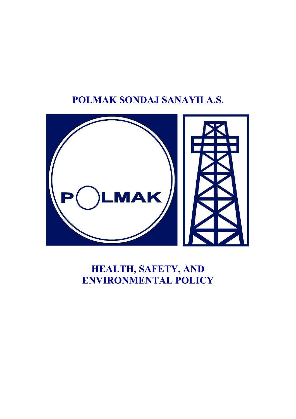# **POLMAK SONDAJ SANAYII A.S.**



# **HEALTH, SAFETY, AND ENVIRONMENTAL POLICY**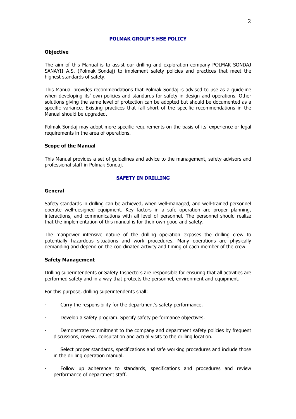# **POLMAK GROUP'S HSE POLICY**

# **Objective**

The aim of this Manual is to assist our drilling and exploration company POLMAK SONDAJ SANAYII A.S. (Polmak Sondaj) to implement safety policies and practices that meet the highest standards of safety.

This Manual provides recommendations that Polmak Sondaj is advised to use as a guideline when developing its' own policies and standards for safety in design and operations. Other solutions giving the same level of protection can be adopted but should be documented as a specific variance. Existing practices that fall short of the specific recommendations in the Manual should be upgraded.

Polmak Sondaj may adopt more specific requirements on the basis of its' experience or legal requirements in the area of operations.

# **Scope of the Manual**

This Manual provides a set of guidelines and advice to the management, safety advisors and professional staff in Polmak Sondaj.

## **SAFETY IN DRILLING**

#### **General**

Safety standards in drilling can be achieved, when well-managed, and well-trained personnel operate well-designed equipment. Key factors in a safe operation are proper planning, interactions, and communications with all level of personnel. The personnel should realize that the implementation of this manual is for their own good and safety.

The manpower intensive nature of the drilling operation exposes the drilling crew to potentially hazardous situations and work procedures. Many operations are physically demanding and depend on the coordinated activity and timing of each member of the crew.

## **Safety Management**

Drilling superintendents or Safety Inspectors are responsible for ensuring that all activities are performed safety and in a way that protects the personnel, environment and equipment.

For this purpose, drilling superintendents shall:

- Carry the responsibility for the department's safety performance.
- Develop a safety program. Specify safety performance objectives.
- Demonstrate commitment to the company and department safety policies by frequent discussions, review, consultation and actual visits to the drilling location.
- Select proper standards, specifications and safe working procedures and include those in the drilling operation manual.
- Follow up adherence to standards, specifications and procedures and review performance of department staff.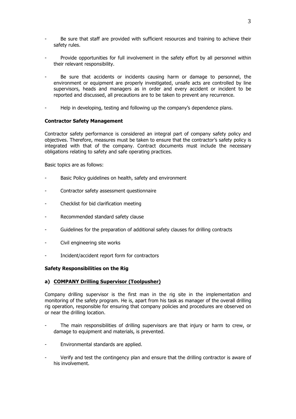- Be sure that staff are provided with sufficient resources and training to achieve their safety rules.
- Provide opportunities for full involvement in the safety effort by all personnel within their relevant responsibility.
- Be sure that accidents or incidents causing harm or damage to personnel, the environment or equipment are properly investigated, unsafe acts are controlled by line supervisors, heads and managers as in order and every accident or incident to be reported and discussed, all precautions are to be taken to prevent any recurrence.
- Help in developing, testing and following up the company's dependence plans.

# **Contractor Safety Management**

Contractor safety performance is considered an integral part of company safety policy and objectives. Therefore, measures must be taken to ensure that the contractor's safety policy is integrated with that of the company. Contract documents must include the necessary obligations relating to safety and safe operating practices.

Basic topics are as follows:

- Basic Policy guidelines on health, safety and environment
- Contractor safety assessment questionnaire
- Checklist for bid clarification meeting
- Recommended standard safety clause
- Guidelines for the preparation of additional safety clauses for drilling contracts
- Civil engineering site works
- Incident/accident report form for contractors

## **Safety Responsibilities on the Rig**

## **a) COMPANY Drilling Supervisor (Toolpusher)**

Company drilling supervisor is the first man in the rig site in the implementation and monitoring of the safety program. He is, apart from his task as manager of the overall drilling rig operation, responsible for ensuring that company policies and procedures are observed on or near the drilling location.

- The main responsibilities of drilling supervisors are that injury or harm to crew, or damage to equipment and materials, is prevented.
- Environmental standards are applied.
- Verify and test the contingency plan and ensure that the drilling contractor is aware of his involvement.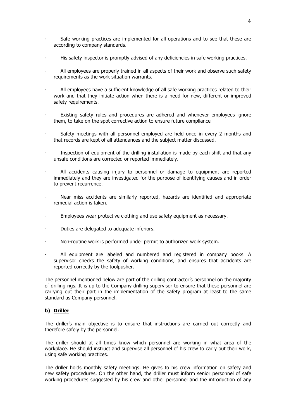- Safe working practices are implemented for all operations and to see that these are according to company standards.
- His safety inspector is promptly advised of any deficiencies in safe working practices.
- All employees are properly trained in all aspects of their work and observe such safety requirements as the work situation warrants.
- All employees have a sufficient knowledge of all safe working practices related to their work and that they initiate action when there is a need for new, different or improved safety requirements.
- Existing safety rules and procedures are adhered and whenever employees ignore them, to take on the spot corrective action to ensure future compliance
- Safety meetings with all personnel employed are held once in every 2 months and that records are kept of all attendances and the subject matter discussed.
- Inspection of equipment of the drilling installation is made by each shift and that any unsafe conditions are corrected or reported immediately.
- All accidents causing injury to personnel or damage to equipment are reported immediately and they are investigated for the purpose of identifying causes and in order to prevent recurrence.
- Near miss accidents are similarly reported, hazards are identified and appropriate remedial action is taken.
- Employees wear protective clothing and use safety equipment as necessary.
- Duties are delegated to adequate inferiors.
- Non-routine work is performed under permit to authorized work system.
- All equipment are labeled and numbered and registered in company books. A supervisor checks the safety of working conditions, and ensures that accidents are reported correctly by the toolpusher.

The personnel mentioned below are part of the drilling contractor's personnel on the majority of drilling rigs. It is up to the Company drilling supervisor to ensure that these personnel are carrying out their part in the implementation of the safety program at least to the same standard as Company personnel.

# **b) Driller**

The driller's main objective is to ensure that instructions are carried out correctly and therefore safely by the personnel.

The driller should at all times know which personnel are working in what area of the workplace. He should instruct and supervise all personnel of his crew to carry out their work, using safe working practices.

The driller holds monthly safety meetings. He gives to his crew information on safety and new safety procedures. On the other hand, the driller must inform senior personnel of safe working procedures suggested by his crew and other personnel and the introduction of any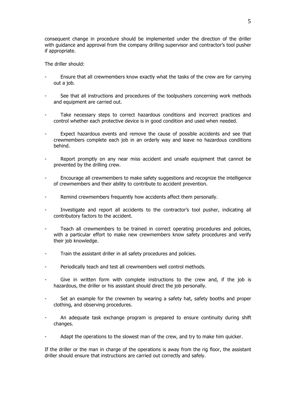consequent change in procedure should be implemented under the direction of the driller with guidance and approval from the company drilling supervisor and contractor's tool pusher if appropriate.

The driller should:

- Ensure that all crewmembers know exactly what the tasks of the crew are for carrying out a job.
- See that all instructions and procedures of the toolpushers concerning work methods and equipment are carried out.
- Take necessary steps to correct hazardous conditions and incorrect practices and control whether each protective device is in good condition and used when needed.
- Expect hazardous events and remove the cause of possible accidents and see that crewmembers complete each job in an orderly way and leave no hazardous conditions behind.
- Report promptly on any near miss accident and unsafe equipment that cannot be prevented by the drilling crew.
- Encourage all crewmembers to make safety suggestions and recognize the intelligence of crewmembers and their ability to contribute to accident prevention.
- Remind crewmembers frequently how accidents affect them personally.
- Investigate and report all accidents to the contractor's tool pusher, indicating all contributory factors to the accident.
- Teach all crewmembers to be trained in correct operating procedures and policies, with a particular effort to make new crewmembers know safety procedures and verify their job knowledge.
- Train the assistant driller in all safety procedures and policies.
- Periodically teach and test all crewmembers well control methods.
- Give in written form with complete instructions to the crew and, if the job is hazardous, the driller or his assistant should direct the job personally.
- Set an example for the crewmen by wearing a safety hat, safety booths and proper clothing, and observing procedures.
- An adequate task exchange program is prepared to ensure continuity during shift changes.
- Adapt the operations to the slowest man of the crew, and try to make him quicker.

If the driller or the man in charge of the operations is away from the rig floor, the assistant driller should ensure that instructions are carried out correctly and safely.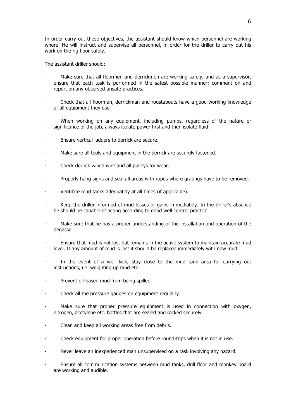In order carry out these objectives, the assistant should know which personnel are working where. He will instruct and supervise all personnel, in order for the driller to carry out his work on the rig floor safely.

The assistant driller should:

- Make sure that all floormen and derrickmen are working safely, and as a supervisor, ensure that each task is performed in the safest possible manner; comment on and report on any observed unsafe practices.
- Check that all floorman, derrickman and roustabouts have a good working knowledge of all equipment they use.
- When working on any equipment, including pumps, regardless of the nature or significance of the job, always isolate power first and then isolate fluid.
- Ensure vertical ladders to derrick are secure.
- Make sure all tools and equipment in the derrick are securely fastened.
- Check derrick winch wire and all pulleys for wear.
- Properly hang signs and seal all areas with ropes where gratings have to be removed.
- Ventilate mud tanks adequately at all times (if applicable).
- Keep the driller informed of mud losses or gains immediately. In the driller's absence he should be capable of acting according to good well control practice.
- Make sure that he has a proper understanding of the installation and operation of the degasser.
- Ensure that mud is not lost but remains in the active system to maintain accurate mud level. If any amount of mud is lost it should be replaced immediately with new mud.
- In the event of a well kick, stay close to the mud tank area for carrying out instructions, i.e. weighting up mud etc.
- Prevent oil-based mud from being spilled.
- Check all the pressure gauges on equipment regularly.
- Make sure that proper pressure equipment is used in connection with oxygen, nitrogen, acetylene etc. bottles that are sealed and racked securely.
- Clean and keep all working areas free from debris.
- Check equipment for proper operation before round-trips when it is not in use.
- Never leave an inexperienced man unsupervised on a task involving any hazard.
- Ensure all communication systems between mud tanks, drill floor and monkey board are working and audible.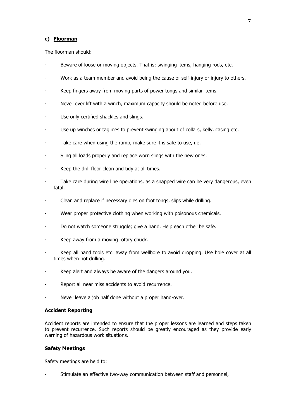## **c) Floorman**

The floorman should:

- Beware of loose or moving objects. That is: swinging items, hanging rods, etc.
- Work as a team member and avoid being the cause of self-injury or injury to others.
- Keep fingers away from moving parts of power tongs and similar items.
- Never over lift with a winch, maximum capacity should be noted before use.
- Use only certified shackles and slings.
- Use up winches or taglines to prevent swinging about of collars, kelly, casing etc.
- Take care when using the ramp, make sure it is safe to use, i.e.
- Sling all loads properly and replace worn slings with the new ones.
- Keep the drill floor clean and tidy at all times.
- Take care during wire line operations, as a snapped wire can be very dangerous, even fatal.
- Clean and replace if necessary dies on foot tongs, slips while drilling.
- Wear proper protective clothing when working with poisonous chemicals.
- Do not watch someone struggle; give a hand. Help each other be safe.
- Keep away from a moving rotary chuck.
- Keep all hand tools etc. away from wellbore to avoid dropping. Use hole cover at all times when not drilling.
- Keep alert and always be aware of the dangers around you.
- Report all near miss accidents to avoid recurrence.
- Never leave a job half done without a proper hand-over.

## **Accident Reporting**

Accident reports are intended to ensure that the proper lessons are learned and steps taken to prevent recurrence. Such reports should be greatly encouraged as they provide early warning of hazardous work situations.

## **Safety Meetings**

Safety meetings are held to:

Stimulate an effective two-way communication between staff and personnel,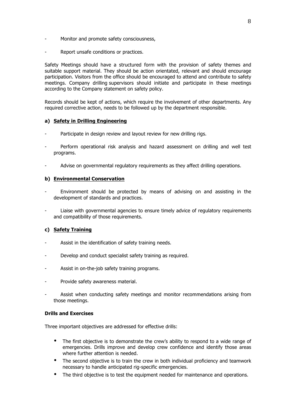- Monitor and promote safety consciousness,
- Report unsafe conditions or practices.

Safety Meetings should have a structured form with the provision of safety themes and suitable support material. They should be action orientated, relevant and should encourage participation. Visitors from the office should be encouraged to attend and contribute to safety meetings. Company drilling supervisors should initiate and participate in these meetings according to the Company statement on safety policy.

Records should be kept of actions, which require the involvement of other departments. Any required corrective action, needs to be followed up by the department responsible.

# **a) Safety in Drilling Engineering**

- Participate in design review and layout review for new drilling rigs.
- Perform operational risk analysis and hazard assessment on drilling and well test programs.
- Advise on governmental regulatory requirements as they affect drilling operations.

# **b) Environmental Conservation**

- Environment should be protected by means of advising on and assisting in the development of standards and practices.
- Liaise with governmental agencies to ensure timely advice of regulatory reguirements and compatibility of those requirements.

# **c) Safety Training**

- Assist in the identification of safety training needs.
- Develop and conduct specialist safety training as required.
- Assist in on-the-job safety training programs.
- Provide safety awareness material.
- Assist when conducting safety meetings and monitor recommendations arising from those meetings.

## **Drills and Exercises**

Three important objectives are addressed for effective drills:

- The first objective is to demonstrate the crew's ability to respond to a wide range of emergencies. Drills improve and develop crew confidence and identify those areas where further attention is needed.
- The second objective is to train the crew in both individual proficiency and teamwork necessary to handle anticipated rig-specific emergencies.
- The third objective is to test the equipment needed for maintenance and operations.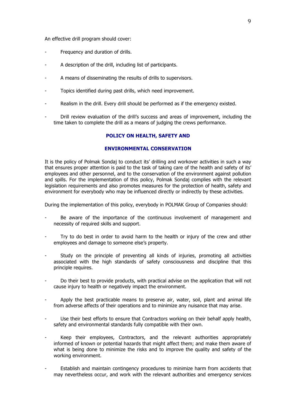An effective drill program should cover:

- Frequency and duration of drills.
- A description of the drill, including list of participants.
- A means of disseminating the results of drills to supervisors.
- Topics identified during past drills, which need improvement.
- Realism in the drill. Every drill should be performed as if the emergency existed.
- Drill review evaluation of the drill's success and areas of improvement, including the time taken to complete the drill as a means of judging the crews performance.

#### **POLICY ON HEALTH, SAFETY AND**

# **ENVIRONMENTAL CONSERVATION**

It is the policy of Polmak Sondaj to conduct its' drilling and workover activities in such a way that ensures proper attention is paid to the task of taking care of the health and safety of its' employees and other personnel, and to the conservation of the environment against pollution and spills. For the implementation of this policy, Polmak Sondaj complies with the relevant legislation requirements and also promotes measures for the protection of health, safety and environment for everybody who may be influenced directly or indirectly by these activities.

During the implementation of this policy, everybody in POLMAK Group of Companies should:

- Be aware of the importance of the continuous involvement of management and necessity of required skills and support.
- Try to do best in order to avoid harm to the health or injury of the crew and other employees and damage to someone else's property.
- Study on the principle of preventing all kinds of injuries, promoting all activities associated with the high standards of safety consciousness and discipline that this principle requires.
- Do their best to provide products, with practical advise on the application that will not cause injury to health or negatively impact the environment.
- Apply the best practicable means to preserve air, water, soil, plant and animal life from adverse affects of their operations and to minimize any nuisance that may arise.
- Use their best efforts to ensure that Contractors working on their behalf apply health, safety and environmental standards fully compatible with their own.
- Keep their employees, Contractors, and the relevant authorities appropriately informed of known or potential hazards that might affect them; and make them aware of what is being done to minimize the risks and to improve the quality and safety of the working environment.
- Establish and maintain contingency procedures to minimize harm from accidents that may nevertheless occur, and work with the relevant authorities and emergency services